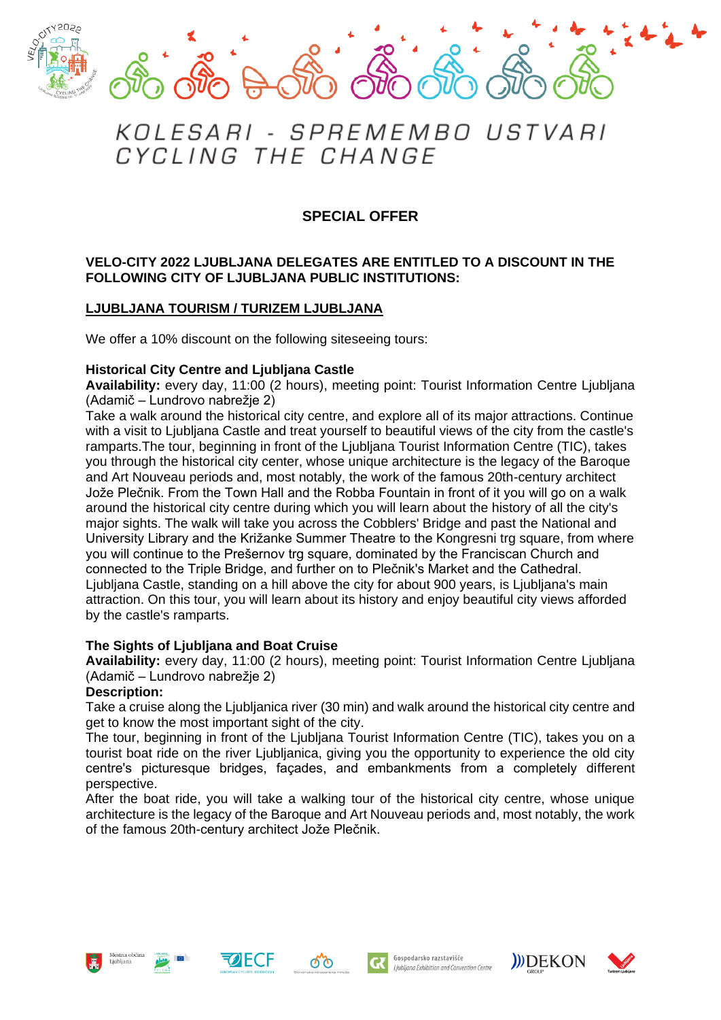

# KOLESARI - SPREMEMBO USTVARI CYCLING THE CHANGE

## **SPECIAL OFFER**

### **VELO-CITY 2022 LJUBLJANA DELEGATES ARE ENTITLED TO A DISCOUNT IN THE FOLLOWING CITY OF LJUBLJANA PUBLIC INSTITUTIONS:**

## **LJUBLJANA TOURISM / TURIZEM LJUBLJANA**

We offer a 10% discount on the following siteseeing tours:

#### **Historical City Centre and Ljubljana Castle**

**Availability:** every day, 11:00 (2 hours), meeting point: Tourist Information Centre Ljubljana (Adamič – Lundrovo nabrežje 2)

Take a walk around the historical city centre, and explore all of its major attractions. Continue with a visit to Ljubljana Castle and treat yourself to beautiful views of the city from the castle's ramparts.The tour, beginning in front of the Ljubljana Tourist Information Centre (TIC), takes you through the historical city center, whose unique architecture is the legacy of the Baroque and Art Nouveau periods and, most notably, the work of the famous 20th-century architect Jože Plečnik. From the Town Hall and the Robba Fountain in front of it you will go on a walk around the historical city centre during which you will learn about the history of all the city's major sights. The walk will take you across the Cobblers' Bridge and past the National and University Library and the Križanke Summer Theatre to the Kongresni trg square, from where you will continue to the Prešernov trg square, dominated by the Franciscan Church and connected to the Triple Bridge, and further on to Plečnik's Market and the Cathedral. Ljubljana Castle, standing on a hill above the city for about 900 years, is Ljubljana's main attraction. On this tour, you will learn about its history and enjoy beautiful city views afforded by the castle's ramparts.

## **The Sights of Ljubljana and Boat Cruise**

**Availability:** every day, 11:00 (2 hours), meeting point: Tourist Information Centre Ljubljana (Adamič – Lundrovo nabrežje 2)

#### **Description:**

Take a cruise along the Ljubljanica river (30 min) and walk around the historical city centre and get to know the most important sight of the city.

The tour, beginning in front of the Ljubljana Tourist Information Centre (TIC), takes you on a tourist boat ride on the river Ljubljanica, giving you the opportunity to experience the old city centre's picturesque bridges, façades, and embankments from a completely different perspective.

After the boat ride, you will take a walking tour of the historical city centre, whose unique architecture is the legacy of the Baroque and Art Nouveau periods and, most notably, the work of the famous 20th-century architect Jože Plečnik.